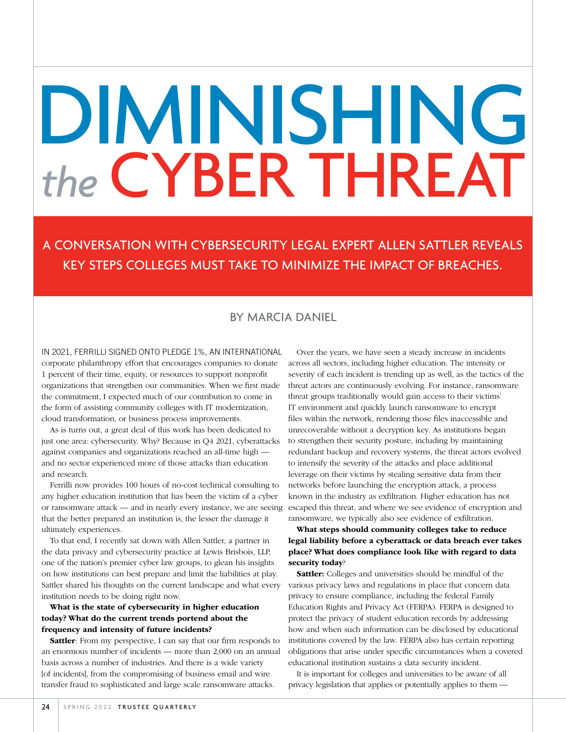# DIMINISHING *the* CYBER THREAT

A CONVERSATION WITH CYBERSECURITY LEGAL EXPERT ALLEN SATTLER REVEALS KEY STEPS COLLEGES MUST TAKE TO MINIMIZE THE IMPACT OF BREACHES.

# BY MARCIA DANIEL

IN 2021, FERRILLI SIGNED ONTO PLEDGE 1%, AN INTERNATIONAL corporate philanthropy effort that encourages companies to donate 1 percent of their time, equity, or resources to support nonprofit organizations that strengthen our communities. When we first made the commitment, I expected much of our contribution to come in the form of assisting community colleges with IT modernization, cloud transformation, or business process improvements.

As is turns out, a great deal of this work has been dedicated to just one area: cybersecurity. Why? Because in Q4 2021, cyberattacks against companies and organizations reached an all-time high and no sector experienced more of those attacks than education and research.

Ferrilli now provides 100 hours of no-cost technical consulting to any higher education institution that has been the victim of a cyber or ransomware attack — and in nearly every instance, we are seeing that the better prepared an institution is, the lesser the damage it ultimately experiences.

To that end, I recently sat down with Allen Sattler, a partner in the data privacy and cybersecurity practice at Lewis Brisbois, LLP, one of the nation's premier cyber law groups, to glean his insights on how institutions can best prepare and limit the liabilities at play. Sattler shared his thoughts on the current landscape and what every institution needs to be doing right now.

#### What is the state of cybersecurity in higher education today? What do the current trends portend about the frequency and intensity of future incidents?

Sattler: From my perspective, I can say that our firm responds to an enormous number of incidents — more than 2,000 on an annual basis across a number of industries. And there is a wide variety [of incidents], from the compromising of business email and wire transfer fraud to sophisticated and large scale ransomware attacks.

Over the years, we have seen a steady increase in incidents across all sectors, including higher education. The intensity or severity of each incident is trending up as well, as the tactics of the threat actors are continuously evolving. For instance, ransomware threat groups traditionally would gain access to their victims' IT environment and quickly launch ransomware to encrypt files within the network, rendering those files inaccessible and unrecoverable without a decryption key. As institutions began to strengthen their security posture, including by maintaining redundant backup and recovery systems, the threat actors evolved to intensify the severity of the attacks and place additional leverage on their victims by stealing sensitive data from their networks before launching the encryption attack, a process known in the industry as exfiltration. Higher education has not escaped this threat, and where we see evidence of encryption and ransomware, we typically also see evidence of exfiltration.

## What steps should community colleges take to reduce legal liability before a cyberattack or data breach ever takes place? What does compliance look like with regard to data security today?

Sattler: Colleges and universities should be mindful of the various privacy laws and regulations in place that concern data privacy to ensure compliance, including the federal Family Education Rights and Privacy Act (FERPA). FERPA is designed to protect the privacy of student education records by addressing how and when such information can be disclosed by educational institutions covered by the law. FERPA also has certain reporting obligations that arise under specific circumstances when a covered educational institution sustains a data security incident.

It is important for colleges and universities to be aware of all privacy legislation that applies or potentially applies to them —